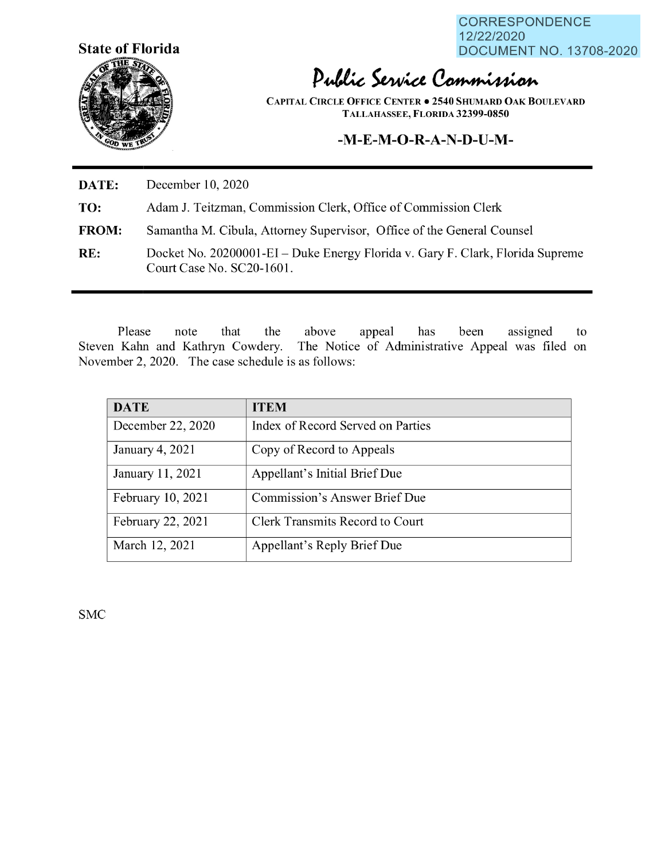

CORRESPONDENCE 12/22/2020 **State of Florida DOCUMENT NO. 13708-2020** 

## Public Service Commission

**CAPITAL CIRCLE OFFICE CENTER • 2540 S HUMARD OAK BOULEVARD TALLAHASSEE, FLORIDA 32399-0850** 

## **-M-E-M-O-R-A-N-D-U-M-**

**DATE:** December 10, 2020

**TO:**  Adam J. Teitzman, Commission Clerk, Office of Commission Clerk

- **FROM:**  Samantha M. Cibula, Attorney Supervisor, Office of the General Counsel
- **RE:** Docket No. 20200001-EI Duke Energy Florida v. Gary F. Clark, Florida Supreme Court Case No. SC20-1601.

Please note that the above appeal has been assigned to Steven Kahn and Kathryn Cowdery. The Notice of Administrative Appeal was filed on November 2, 2020. The case schedule is as follows:

| <b>DATE</b>       | <b>ITEM</b>                            |
|-------------------|----------------------------------------|
| December 22, 2020 | Index of Record Served on Parties      |
| January 4, 2021   | Copy of Record to Appeals              |
| January 11, 2021  | Appellant's Initial Brief Due          |
| February 10, 2021 | Commission's Answer Brief Due          |
| February 22, 2021 | <b>Clerk Transmits Record to Court</b> |
| March 12, 2021    | Appellant's Reply Brief Due            |

SMC